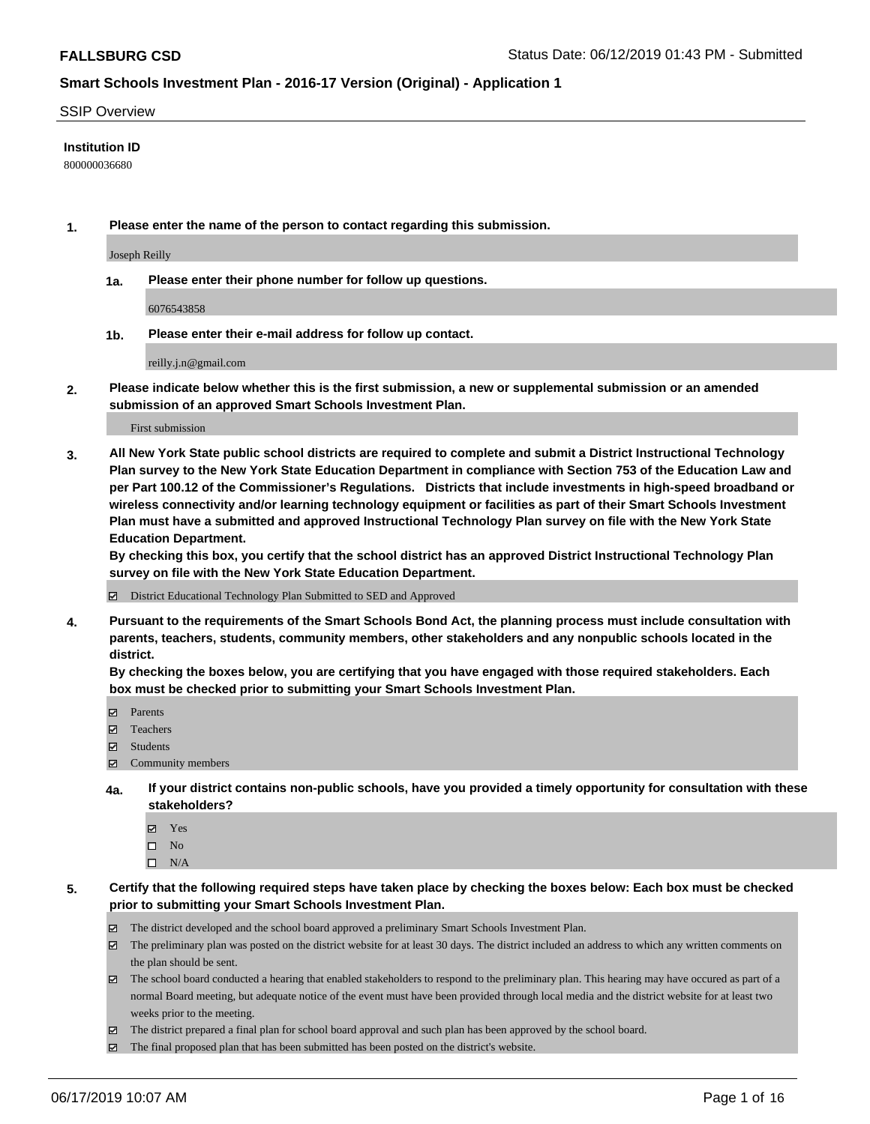### SSIP Overview

### **Institution ID**

800000036680

**1. Please enter the name of the person to contact regarding this submission.**

Joseph Reilly

**1a. Please enter their phone number for follow up questions.**

6076543858

**1b. Please enter their e-mail address for follow up contact.**

reilly.j.n@gmail.com

**2. Please indicate below whether this is the first submission, a new or supplemental submission or an amended submission of an approved Smart Schools Investment Plan.**

First submission

**3. All New York State public school districts are required to complete and submit a District Instructional Technology Plan survey to the New York State Education Department in compliance with Section 753 of the Education Law and per Part 100.12 of the Commissioner's Regulations. Districts that include investments in high-speed broadband or wireless connectivity and/or learning technology equipment or facilities as part of their Smart Schools Investment Plan must have a submitted and approved Instructional Technology Plan survey on file with the New York State Education Department.** 

**By checking this box, you certify that the school district has an approved District Instructional Technology Plan survey on file with the New York State Education Department.**

District Educational Technology Plan Submitted to SED and Approved

**4. Pursuant to the requirements of the Smart Schools Bond Act, the planning process must include consultation with parents, teachers, students, community members, other stakeholders and any nonpublic schools located in the district.** 

**By checking the boxes below, you are certifying that you have engaged with those required stakeholders. Each box must be checked prior to submitting your Smart Schools Investment Plan.**

- Parents
- Teachers
- Students
- Community members
- **4a. If your district contains non-public schools, have you provided a timely opportunity for consultation with these stakeholders?**
	- Yes
	- $\square$  No
	- $\square$  N/A
- **5. Certify that the following required steps have taken place by checking the boxes below: Each box must be checked prior to submitting your Smart Schools Investment Plan.**
	- The district developed and the school board approved a preliminary Smart Schools Investment Plan.
	- $\boxtimes$  The preliminary plan was posted on the district website for at least 30 days. The district included an address to which any written comments on the plan should be sent.
	- $\boxtimes$  The school board conducted a hearing that enabled stakeholders to respond to the preliminary plan. This hearing may have occured as part of a normal Board meeting, but adequate notice of the event must have been provided through local media and the district website for at least two weeks prior to the meeting.
	- The district prepared a final plan for school board approval and such plan has been approved by the school board.
	- $\boxtimes$  The final proposed plan that has been submitted has been posted on the district's website.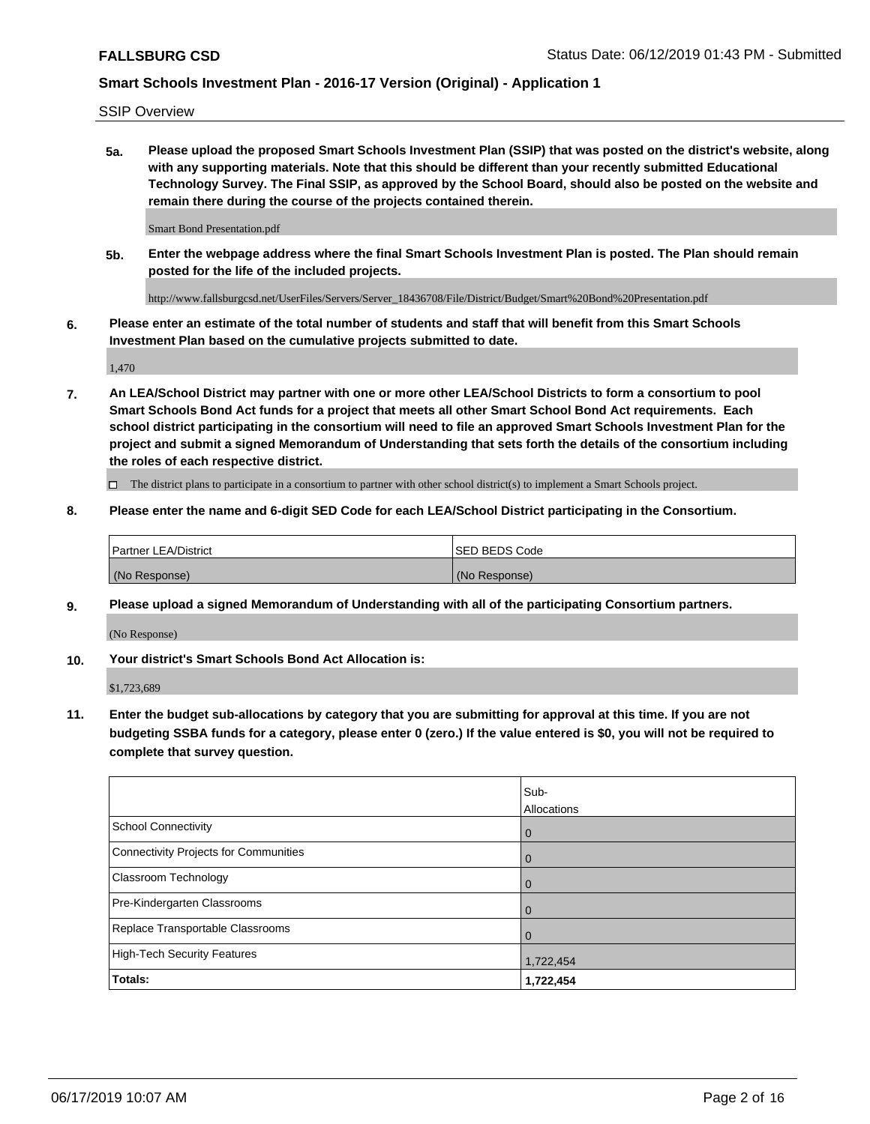SSIP Overview

**5a. Please upload the proposed Smart Schools Investment Plan (SSIP) that was posted on the district's website, along with any supporting materials. Note that this should be different than your recently submitted Educational Technology Survey. The Final SSIP, as approved by the School Board, should also be posted on the website and remain there during the course of the projects contained therein.**

Smart Bond Presentation.pdf

**5b. Enter the webpage address where the final Smart Schools Investment Plan is posted. The Plan should remain posted for the life of the included projects.**

http://www.fallsburgcsd.net/UserFiles/Servers/Server\_18436708/File/District/Budget/Smart%20Bond%20Presentation.pdf

**6. Please enter an estimate of the total number of students and staff that will benefit from this Smart Schools Investment Plan based on the cumulative projects submitted to date.**

1,470

**7. An LEA/School District may partner with one or more other LEA/School Districts to form a consortium to pool Smart Schools Bond Act funds for a project that meets all other Smart School Bond Act requirements. Each school district participating in the consortium will need to file an approved Smart Schools Investment Plan for the project and submit a signed Memorandum of Understanding that sets forth the details of the consortium including the roles of each respective district.**

 $\Box$  The district plans to participate in a consortium to partner with other school district(s) to implement a Smart Schools project.

### **8. Please enter the name and 6-digit SED Code for each LEA/School District participating in the Consortium.**

| Partner LEA/District | <b>ISED BEDS Code</b> |
|----------------------|-----------------------|
| (No Response)        | (No Response)         |

### **9. Please upload a signed Memorandum of Understanding with all of the participating Consortium partners.**

(No Response)

**10. Your district's Smart Schools Bond Act Allocation is:**

\$1,723,689

**11. Enter the budget sub-allocations by category that you are submitting for approval at this time. If you are not budgeting SSBA funds for a category, please enter 0 (zero.) If the value entered is \$0, you will not be required to complete that survey question.**

|                                       | Sub-<br>Allocations |
|---------------------------------------|---------------------|
| School Connectivity                   | $\overline{0}$      |
| Connectivity Projects for Communities | $\overline{0}$      |
| <b>Classroom Technology</b>           | $\overline{0}$      |
| Pre-Kindergarten Classrooms           | $\Omega$            |
| Replace Transportable Classrooms      | $\mathbf 0$         |
| High-Tech Security Features           | 1,722,454           |
| Totals:                               | 1,722,454           |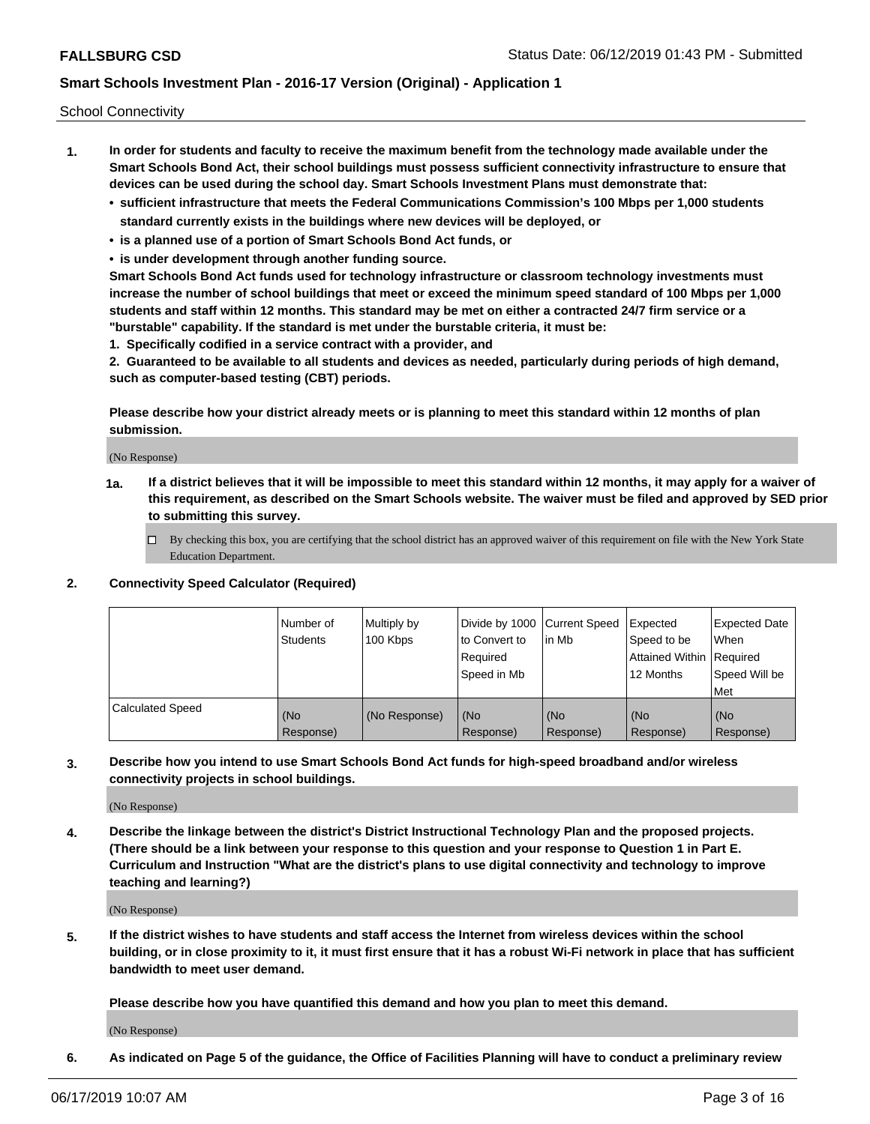School Connectivity

- **1. In order for students and faculty to receive the maximum benefit from the technology made available under the Smart Schools Bond Act, their school buildings must possess sufficient connectivity infrastructure to ensure that devices can be used during the school day. Smart Schools Investment Plans must demonstrate that:**
	- **• sufficient infrastructure that meets the Federal Communications Commission's 100 Mbps per 1,000 students standard currently exists in the buildings where new devices will be deployed, or**
	- **• is a planned use of a portion of Smart Schools Bond Act funds, or**
	- **• is under development through another funding source.**

**Smart Schools Bond Act funds used for technology infrastructure or classroom technology investments must increase the number of school buildings that meet or exceed the minimum speed standard of 100 Mbps per 1,000 students and staff within 12 months. This standard may be met on either a contracted 24/7 firm service or a "burstable" capability. If the standard is met under the burstable criteria, it must be:**

**1. Specifically codified in a service contract with a provider, and**

**2. Guaranteed to be available to all students and devices as needed, particularly during periods of high demand, such as computer-based testing (CBT) periods.**

**Please describe how your district already meets or is planning to meet this standard within 12 months of plan submission.**

(No Response)

**1a. If a district believes that it will be impossible to meet this standard within 12 months, it may apply for a waiver of this requirement, as described on the Smart Schools website. The waiver must be filed and approved by SED prior to submitting this survey.**

 $\Box$  By checking this box, you are certifying that the school district has an approved waiver of this requirement on file with the New York State Education Department.

### **2. Connectivity Speed Calculator (Required)**

|                         | Number of<br>Students | Multiply by<br>100 Kbps | Divide by 1000 Current Speed<br>to Convert to<br>Required<br>Speed in Mb | l in Mb          | Expected<br>Speed to be<br>Attained Within   Required<br>12 Months | <b>Expected Date</b><br>When<br>Speed Will be<br><b>Met</b> |
|-------------------------|-----------------------|-------------------------|--------------------------------------------------------------------------|------------------|--------------------------------------------------------------------|-------------------------------------------------------------|
| <b>Calculated Speed</b> | (No<br>Response)      | (No Response)           | (No<br>Response)                                                         | (No<br>Response) | (No<br>Response)                                                   | (No<br>Response)                                            |

**3. Describe how you intend to use Smart Schools Bond Act funds for high-speed broadband and/or wireless connectivity projects in school buildings.**

(No Response)

**4. Describe the linkage between the district's District Instructional Technology Plan and the proposed projects. (There should be a link between your response to this question and your response to Question 1 in Part E. Curriculum and Instruction "What are the district's plans to use digital connectivity and technology to improve teaching and learning?)**

(No Response)

**5. If the district wishes to have students and staff access the Internet from wireless devices within the school building, or in close proximity to it, it must first ensure that it has a robust Wi-Fi network in place that has sufficient bandwidth to meet user demand.**

**Please describe how you have quantified this demand and how you plan to meet this demand.**

(No Response)

**6. As indicated on Page 5 of the guidance, the Office of Facilities Planning will have to conduct a preliminary review**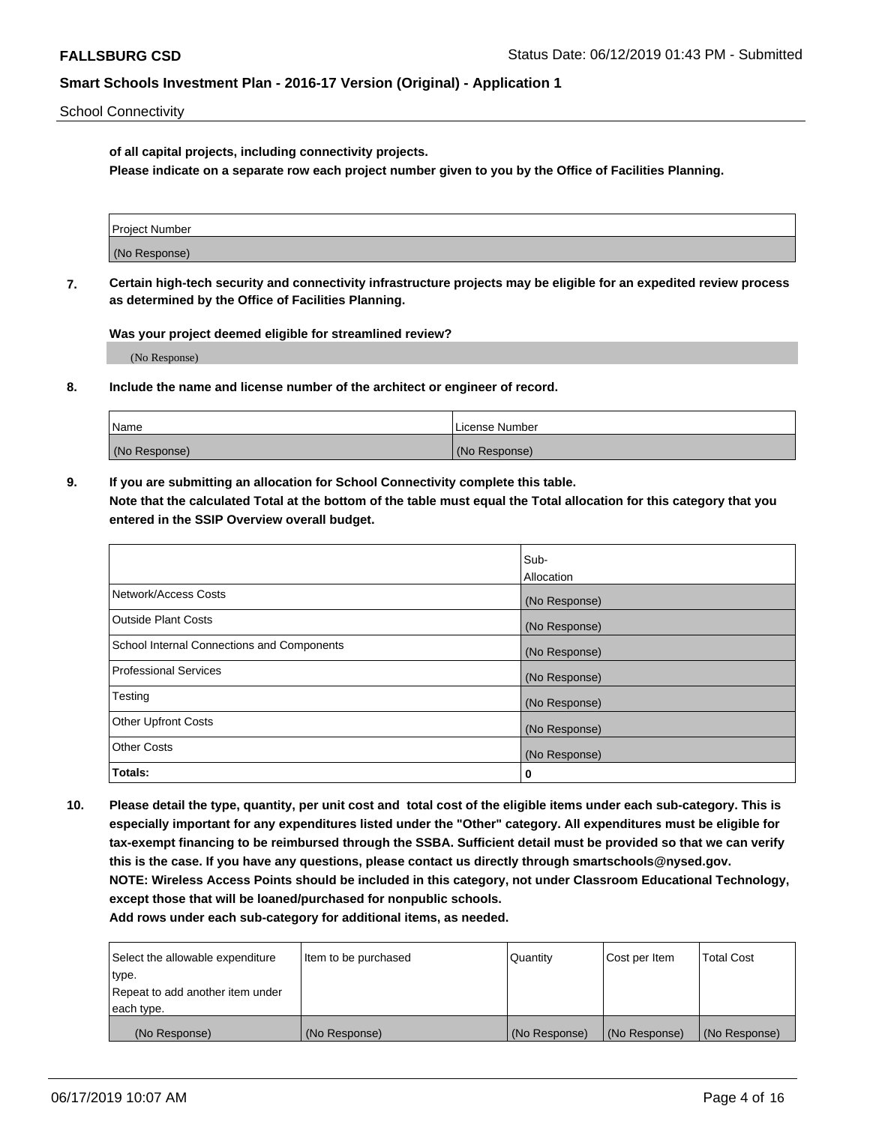School Connectivity

**of all capital projects, including connectivity projects.**

**Please indicate on a separate row each project number given to you by the Office of Facilities Planning.**

| Project Number |  |
|----------------|--|
|                |  |
|                |  |
| (No Response)  |  |
|                |  |

**7. Certain high-tech security and connectivity infrastructure projects may be eligible for an expedited review process as determined by the Office of Facilities Planning.**

**Was your project deemed eligible for streamlined review?**

(No Response)

**8. Include the name and license number of the architect or engineer of record.**

| Name          | License Number |
|---------------|----------------|
| (No Response) | (No Response)  |

**9. If you are submitting an allocation for School Connectivity complete this table. Note that the calculated Total at the bottom of the table must equal the Total allocation for this category that you entered in the SSIP Overview overall budget.** 

|                                            | Sub-          |
|--------------------------------------------|---------------|
|                                            | Allocation    |
| Network/Access Costs                       | (No Response) |
| Outside Plant Costs                        | (No Response) |
| School Internal Connections and Components | (No Response) |
| <b>Professional Services</b>               | (No Response) |
| Testing                                    | (No Response) |
| <b>Other Upfront Costs</b>                 | (No Response) |
| <b>Other Costs</b>                         | (No Response) |
| Totals:                                    | 0             |

**10. Please detail the type, quantity, per unit cost and total cost of the eligible items under each sub-category. This is especially important for any expenditures listed under the "Other" category. All expenditures must be eligible for tax-exempt financing to be reimbursed through the SSBA. Sufficient detail must be provided so that we can verify this is the case. If you have any questions, please contact us directly through smartschools@nysed.gov. NOTE: Wireless Access Points should be included in this category, not under Classroom Educational Technology, except those that will be loaned/purchased for nonpublic schools.**

| Select the allowable expenditure | Item to be purchased | Quantity      | <b>Cost per Item</b> | <b>Total Cost</b> |
|----------------------------------|----------------------|---------------|----------------------|-------------------|
| type.                            |                      |               |                      |                   |
| Repeat to add another item under |                      |               |                      |                   |
| each type.                       |                      |               |                      |                   |
| (No Response)                    | (No Response)        | (No Response) | (No Response)        | (No Response)     |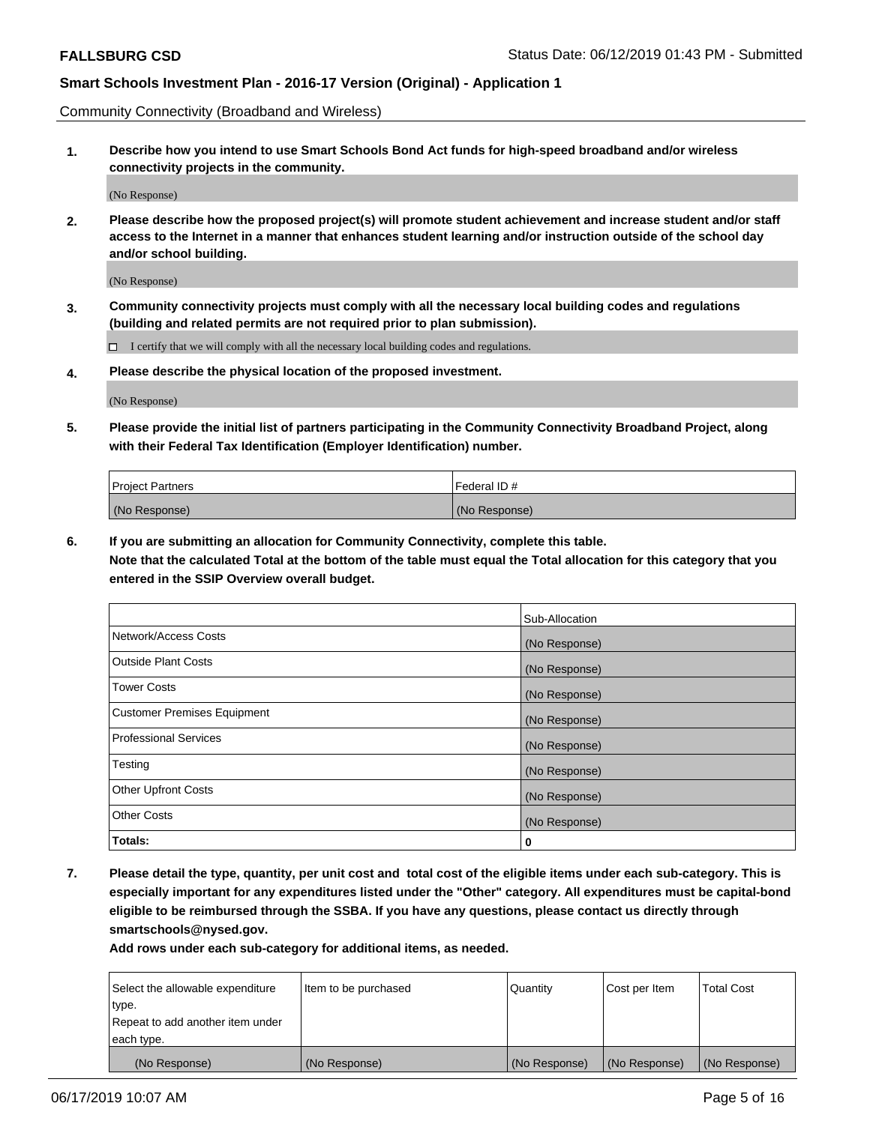Community Connectivity (Broadband and Wireless)

**1. Describe how you intend to use Smart Schools Bond Act funds for high-speed broadband and/or wireless connectivity projects in the community.**

(No Response)

**2. Please describe how the proposed project(s) will promote student achievement and increase student and/or staff access to the Internet in a manner that enhances student learning and/or instruction outside of the school day and/or school building.**

(No Response)

**3. Community connectivity projects must comply with all the necessary local building codes and regulations (building and related permits are not required prior to plan submission).**

 $\Box$  I certify that we will comply with all the necessary local building codes and regulations.

**4. Please describe the physical location of the proposed investment.**

(No Response)

**5. Please provide the initial list of partners participating in the Community Connectivity Broadband Project, along with their Federal Tax Identification (Employer Identification) number.**

| <b>Project Partners</b> | l Federal ID # |
|-------------------------|----------------|
| (No Response)           | (No Response)  |

**6. If you are submitting an allocation for Community Connectivity, complete this table.**

**Note that the calculated Total at the bottom of the table must equal the Total allocation for this category that you entered in the SSIP Overview overall budget.**

|                                    | Sub-Allocation |
|------------------------------------|----------------|
| Network/Access Costs               | (No Response)  |
| <b>Outside Plant Costs</b>         | (No Response)  |
| <b>Tower Costs</b>                 | (No Response)  |
| <b>Customer Premises Equipment</b> | (No Response)  |
| <b>Professional Services</b>       | (No Response)  |
| Testing                            | (No Response)  |
| <b>Other Upfront Costs</b>         | (No Response)  |
| <b>Other Costs</b>                 | (No Response)  |
| Totals:                            | 0              |

**7. Please detail the type, quantity, per unit cost and total cost of the eligible items under each sub-category. This is especially important for any expenditures listed under the "Other" category. All expenditures must be capital-bond eligible to be reimbursed through the SSBA. If you have any questions, please contact us directly through smartschools@nysed.gov.**

| Select the allowable expenditure | Item to be purchased | Quantity      | Cost per Item | <b>Total Cost</b> |
|----------------------------------|----------------------|---------------|---------------|-------------------|
| type.                            |                      |               |               |                   |
| Repeat to add another item under |                      |               |               |                   |
| each type.                       |                      |               |               |                   |
| (No Response)                    | (No Response)        | (No Response) | (No Response) | (No Response)     |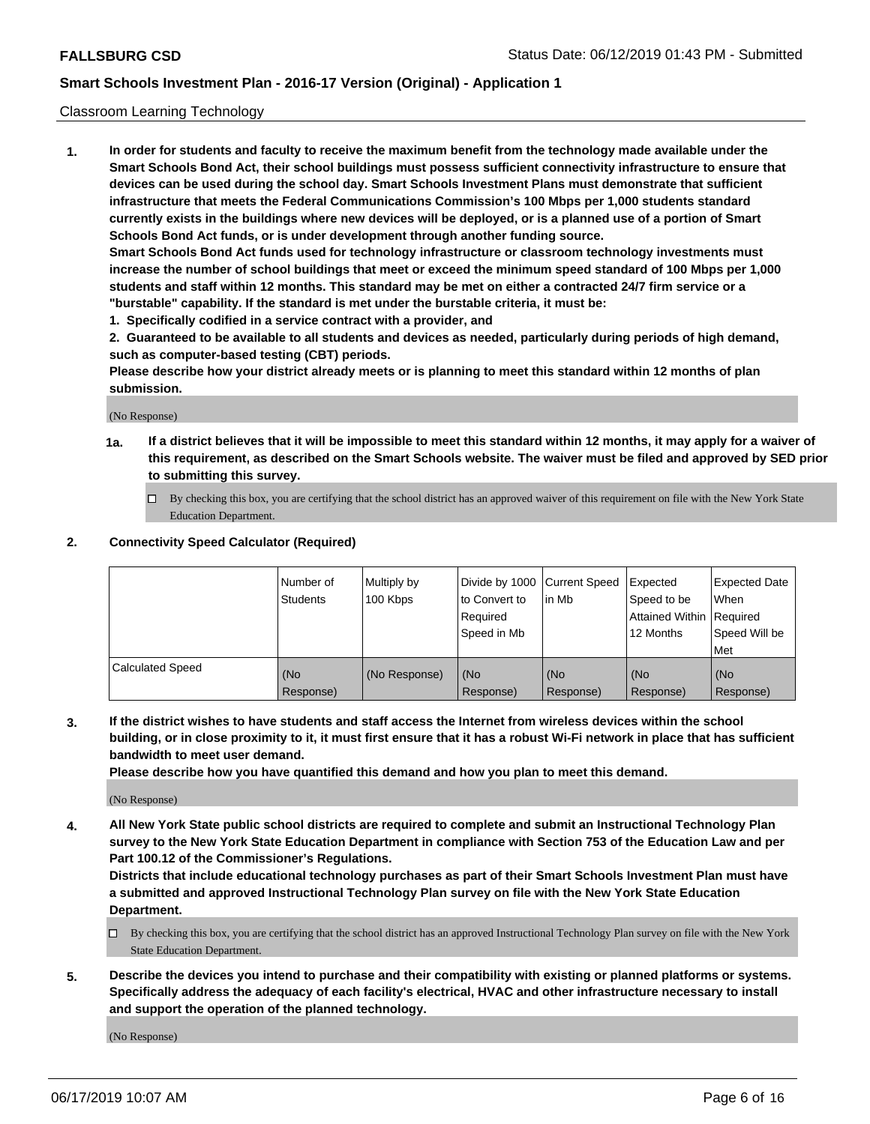### Classroom Learning Technology

**1. In order for students and faculty to receive the maximum benefit from the technology made available under the Smart Schools Bond Act, their school buildings must possess sufficient connectivity infrastructure to ensure that devices can be used during the school day. Smart Schools Investment Plans must demonstrate that sufficient infrastructure that meets the Federal Communications Commission's 100 Mbps per 1,000 students standard currently exists in the buildings where new devices will be deployed, or is a planned use of a portion of Smart Schools Bond Act funds, or is under development through another funding source. Smart Schools Bond Act funds used for technology infrastructure or classroom technology investments must increase the number of school buildings that meet or exceed the minimum speed standard of 100 Mbps per 1,000**

**students and staff within 12 months. This standard may be met on either a contracted 24/7 firm service or a "burstable" capability. If the standard is met under the burstable criteria, it must be:**

**1. Specifically codified in a service contract with a provider, and**

**2. Guaranteed to be available to all students and devices as needed, particularly during periods of high demand, such as computer-based testing (CBT) periods.**

**Please describe how your district already meets or is planning to meet this standard within 12 months of plan submission.**

(No Response)

- **1a. If a district believes that it will be impossible to meet this standard within 12 months, it may apply for a waiver of this requirement, as described on the Smart Schools website. The waiver must be filed and approved by SED prior to submitting this survey.**
	- By checking this box, you are certifying that the school district has an approved waiver of this requirement on file with the New York State Education Department.

### **2. Connectivity Speed Calculator (Required)**

|                         | l Number of<br>Students | Multiply by<br>100 Kbps | to Convert to<br>Required<br>Speed in Mb | Divide by 1000 Current Speed Expected<br>lin Mb | Speed to be<br>Attained Within Required<br>12 Months | <b>Expected Date</b><br>When<br>Speed Will be<br>Met |
|-------------------------|-------------------------|-------------------------|------------------------------------------|-------------------------------------------------|------------------------------------------------------|------------------------------------------------------|
| <b>Calculated Speed</b> | (No<br>Response)        | (No Response)           | (No<br>Response)                         | (No<br>Response)                                | (No<br>Response)                                     | (No<br>Response)                                     |

**3. If the district wishes to have students and staff access the Internet from wireless devices within the school building, or in close proximity to it, it must first ensure that it has a robust Wi-Fi network in place that has sufficient bandwidth to meet user demand.**

**Please describe how you have quantified this demand and how you plan to meet this demand.**

(No Response)

**4. All New York State public school districts are required to complete and submit an Instructional Technology Plan survey to the New York State Education Department in compliance with Section 753 of the Education Law and per Part 100.12 of the Commissioner's Regulations.**

**Districts that include educational technology purchases as part of their Smart Schools Investment Plan must have a submitted and approved Instructional Technology Plan survey on file with the New York State Education Department.**

- $\Box$  By checking this box, you are certifying that the school district has an approved Instructional Technology Plan survey on file with the New York State Education Department.
- **5. Describe the devices you intend to purchase and their compatibility with existing or planned platforms or systems. Specifically address the adequacy of each facility's electrical, HVAC and other infrastructure necessary to install and support the operation of the planned technology.**

(No Response)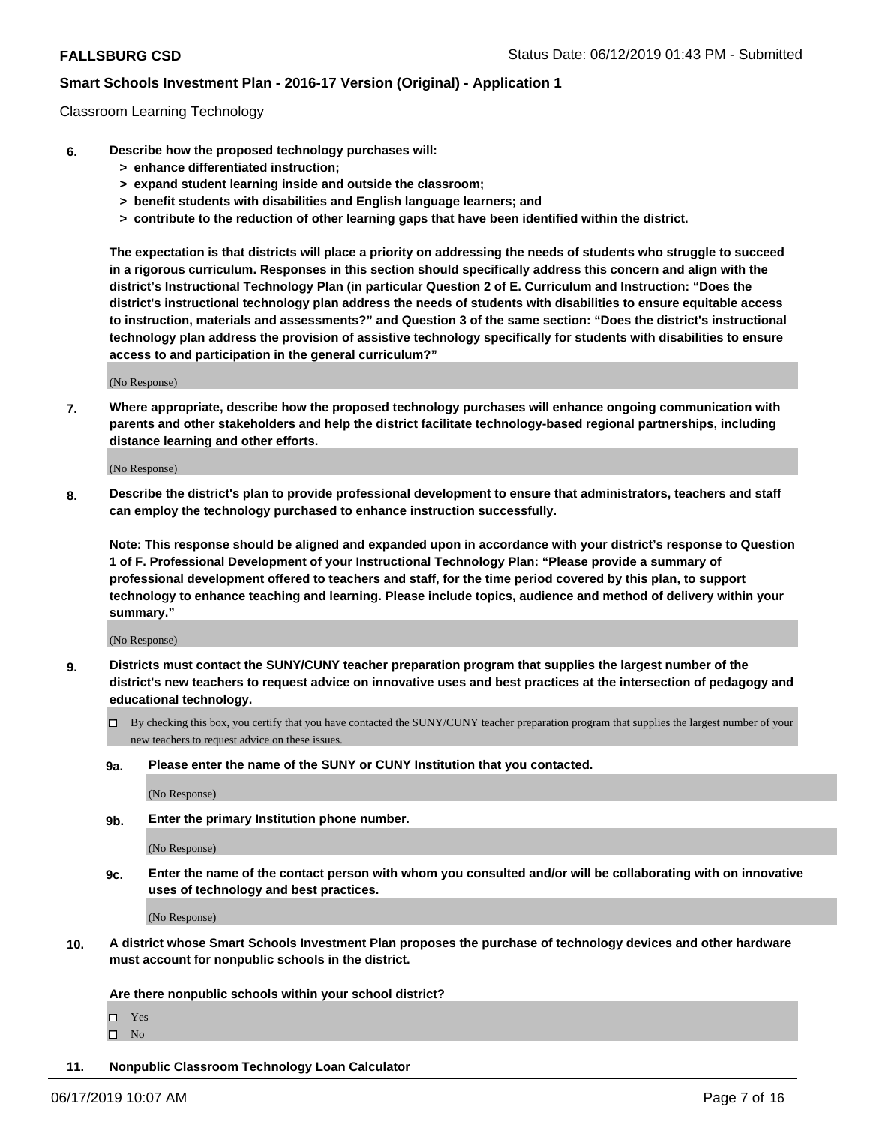### Classroom Learning Technology

- **6. Describe how the proposed technology purchases will:**
	- **> enhance differentiated instruction;**
	- **> expand student learning inside and outside the classroom;**
	- **> benefit students with disabilities and English language learners; and**
	- **> contribute to the reduction of other learning gaps that have been identified within the district.**

**The expectation is that districts will place a priority on addressing the needs of students who struggle to succeed in a rigorous curriculum. Responses in this section should specifically address this concern and align with the district's Instructional Technology Plan (in particular Question 2 of E. Curriculum and Instruction: "Does the district's instructional technology plan address the needs of students with disabilities to ensure equitable access to instruction, materials and assessments?" and Question 3 of the same section: "Does the district's instructional technology plan address the provision of assistive technology specifically for students with disabilities to ensure access to and participation in the general curriculum?"**

(No Response)

**7. Where appropriate, describe how the proposed technology purchases will enhance ongoing communication with parents and other stakeholders and help the district facilitate technology-based regional partnerships, including distance learning and other efforts.**

(No Response)

**8. Describe the district's plan to provide professional development to ensure that administrators, teachers and staff can employ the technology purchased to enhance instruction successfully.**

**Note: This response should be aligned and expanded upon in accordance with your district's response to Question 1 of F. Professional Development of your Instructional Technology Plan: "Please provide a summary of professional development offered to teachers and staff, for the time period covered by this plan, to support technology to enhance teaching and learning. Please include topics, audience and method of delivery within your summary."**

(No Response)

- **9. Districts must contact the SUNY/CUNY teacher preparation program that supplies the largest number of the district's new teachers to request advice on innovative uses and best practices at the intersection of pedagogy and educational technology.**
	- By checking this box, you certify that you have contacted the SUNY/CUNY teacher preparation program that supplies the largest number of your new teachers to request advice on these issues.
	- **9a. Please enter the name of the SUNY or CUNY Institution that you contacted.**

(No Response)

**9b. Enter the primary Institution phone number.**

(No Response)

**9c. Enter the name of the contact person with whom you consulted and/or will be collaborating with on innovative uses of technology and best practices.**

(No Response)

**10. A district whose Smart Schools Investment Plan proposes the purchase of technology devices and other hardware must account for nonpublic schools in the district.**

**Are there nonpublic schools within your school district?**

Yes

 $\square$  No

**11. Nonpublic Classroom Technology Loan Calculator**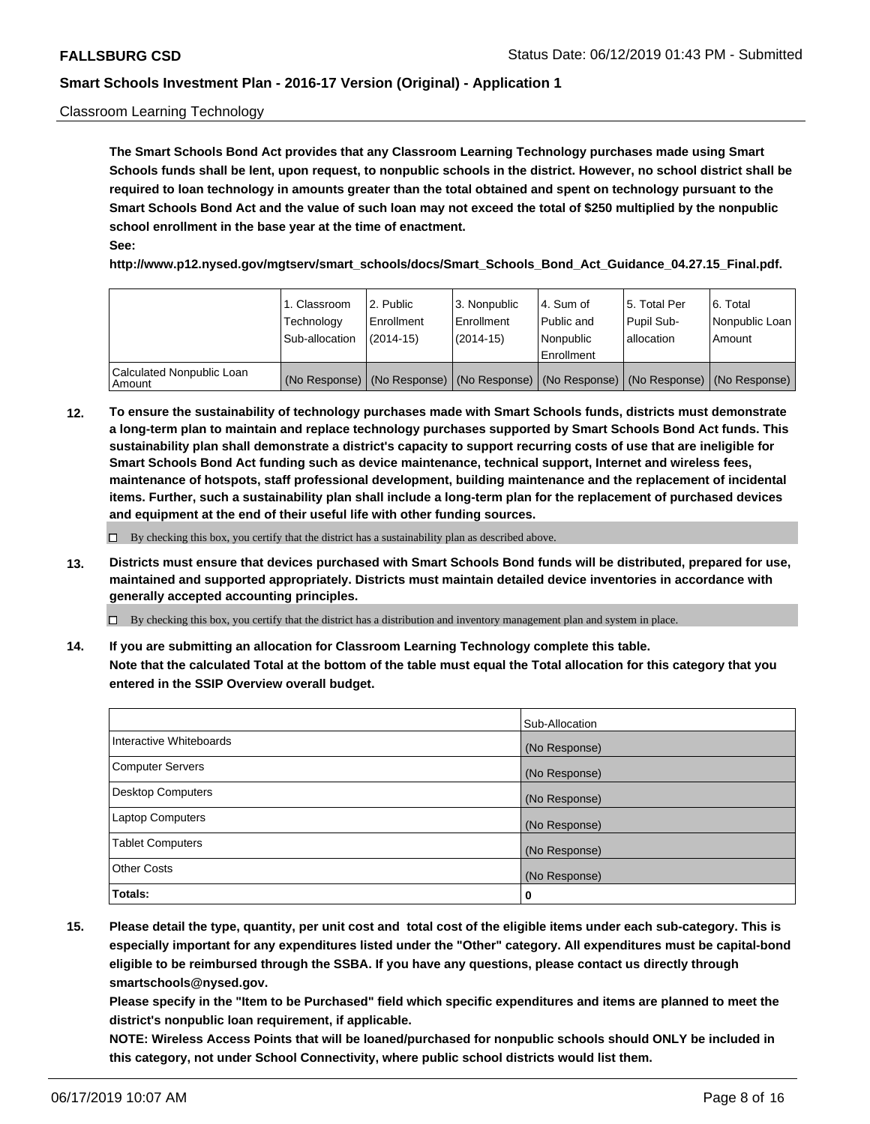### Classroom Learning Technology

**The Smart Schools Bond Act provides that any Classroom Learning Technology purchases made using Smart Schools funds shall be lent, upon request, to nonpublic schools in the district. However, no school district shall be required to loan technology in amounts greater than the total obtained and spent on technology pursuant to the Smart Schools Bond Act and the value of such loan may not exceed the total of \$250 multiplied by the nonpublic school enrollment in the base year at the time of enactment. See:**

**http://www.p12.nysed.gov/mgtserv/smart\_schools/docs/Smart\_Schools\_Bond\_Act\_Guidance\_04.27.15\_Final.pdf.**

|                                       | 1. Classroom<br>Technology<br>Sub-allocation | 2. Public<br>l Enrollment<br>(2014-15) | l 3. Nonpublic<br>l Enrollment<br>$(2014 - 15)$ | l 4. Sum of<br>l Public and<br>l Nonpublic<br>Enrollment                                      | 15. Total Per<br>Pupil Sub-<br>l allocation | l 6. Total<br>Nonpublic Loan<br>Amount |
|---------------------------------------|----------------------------------------------|----------------------------------------|-------------------------------------------------|-----------------------------------------------------------------------------------------------|---------------------------------------------|----------------------------------------|
| Calculated Nonpublic Loan<br>l Amount |                                              |                                        |                                                 | (No Response)   (No Response)   (No Response)   (No Response)   (No Response)   (No Response) |                                             |                                        |

**12. To ensure the sustainability of technology purchases made with Smart Schools funds, districts must demonstrate a long-term plan to maintain and replace technology purchases supported by Smart Schools Bond Act funds. This sustainability plan shall demonstrate a district's capacity to support recurring costs of use that are ineligible for Smart Schools Bond Act funding such as device maintenance, technical support, Internet and wireless fees, maintenance of hotspots, staff professional development, building maintenance and the replacement of incidental items. Further, such a sustainability plan shall include a long-term plan for the replacement of purchased devices and equipment at the end of their useful life with other funding sources.**

 $\Box$  By checking this box, you certify that the district has a sustainability plan as described above.

**13. Districts must ensure that devices purchased with Smart Schools Bond funds will be distributed, prepared for use, maintained and supported appropriately. Districts must maintain detailed device inventories in accordance with generally accepted accounting principles.**

By checking this box, you certify that the district has a distribution and inventory management plan and system in place.

**14. If you are submitting an allocation for Classroom Learning Technology complete this table. Note that the calculated Total at the bottom of the table must equal the Total allocation for this category that you entered in the SSIP Overview overall budget.**

|                          | Sub-Allocation |
|--------------------------|----------------|
| Interactive Whiteboards  | (No Response)  |
| <b>Computer Servers</b>  | (No Response)  |
| <b>Desktop Computers</b> | (No Response)  |
| <b>Laptop Computers</b>  | (No Response)  |
| <b>Tablet Computers</b>  | (No Response)  |
| <b>Other Costs</b>       | (No Response)  |
| Totals:                  | 0              |

**15. Please detail the type, quantity, per unit cost and total cost of the eligible items under each sub-category. This is especially important for any expenditures listed under the "Other" category. All expenditures must be capital-bond eligible to be reimbursed through the SSBA. If you have any questions, please contact us directly through smartschools@nysed.gov.**

**Please specify in the "Item to be Purchased" field which specific expenditures and items are planned to meet the district's nonpublic loan requirement, if applicable.**

**NOTE: Wireless Access Points that will be loaned/purchased for nonpublic schools should ONLY be included in this category, not under School Connectivity, where public school districts would list them.**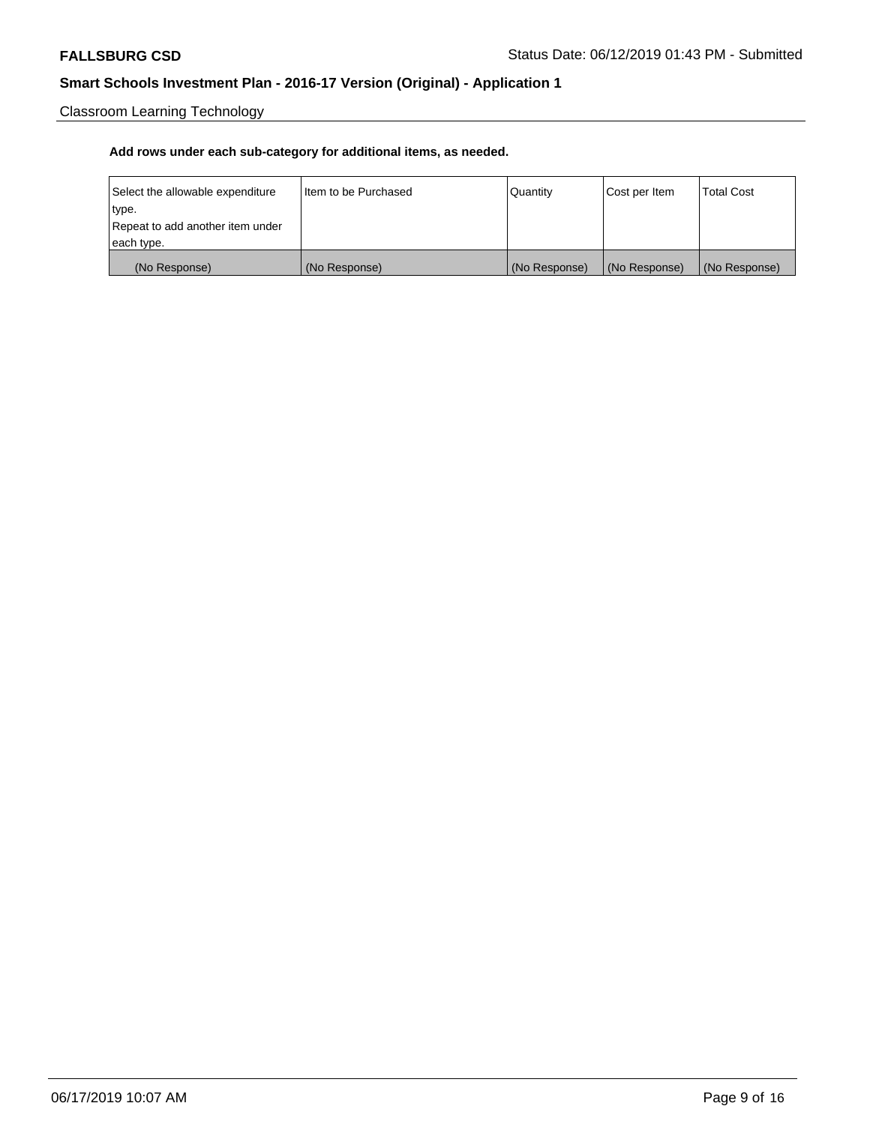Classroom Learning Technology

| Select the allowable expenditure | I Item to be Purchased | Quantity      | Cost per Item | <b>Total Cost</b> |
|----------------------------------|------------------------|---------------|---------------|-------------------|
| type.                            |                        |               |               |                   |
| Repeat to add another item under |                        |               |               |                   |
| each type.                       |                        |               |               |                   |
| (No Response)                    | (No Response)          | (No Response) | (No Response) | (No Response)     |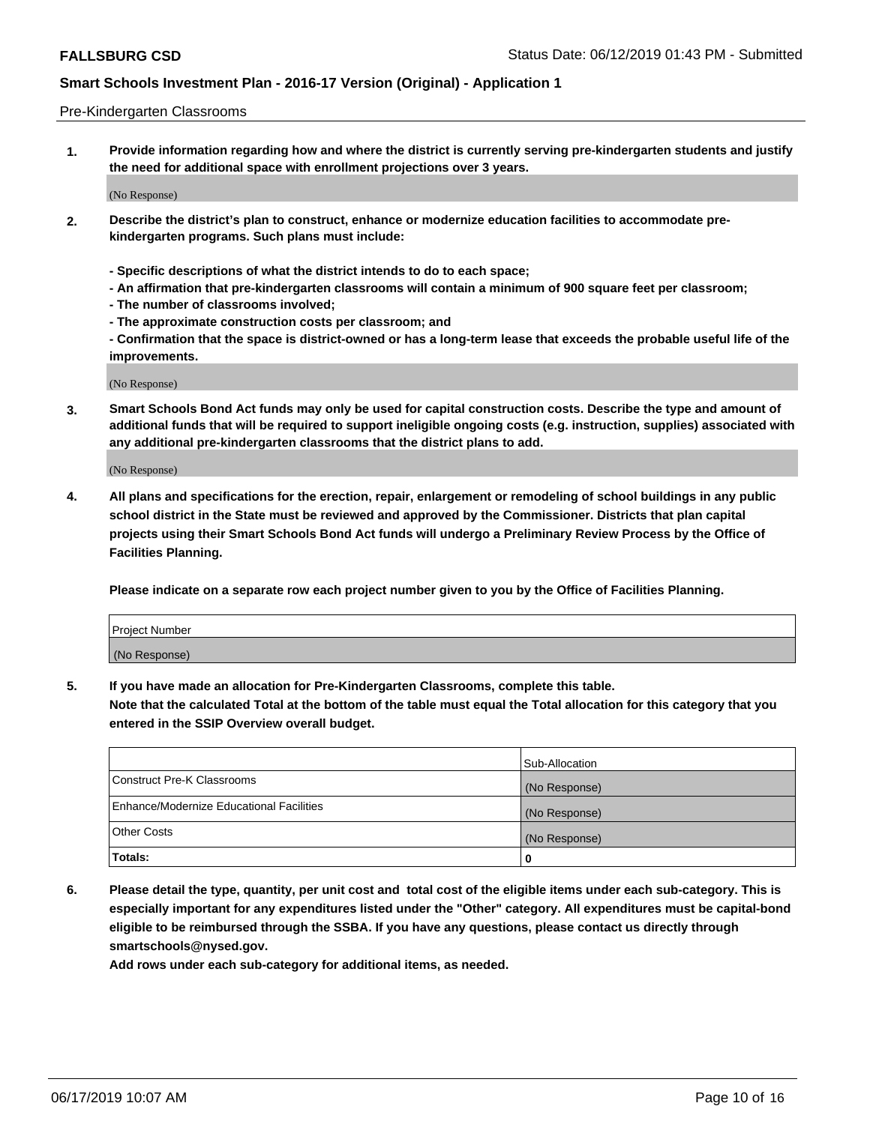### Pre-Kindergarten Classrooms

**1. Provide information regarding how and where the district is currently serving pre-kindergarten students and justify the need for additional space with enrollment projections over 3 years.**

(No Response)

- **2. Describe the district's plan to construct, enhance or modernize education facilities to accommodate prekindergarten programs. Such plans must include:**
	- **Specific descriptions of what the district intends to do to each space;**
	- **An affirmation that pre-kindergarten classrooms will contain a minimum of 900 square feet per classroom;**
	- **The number of classrooms involved;**
	- **The approximate construction costs per classroom; and**
	- **Confirmation that the space is district-owned or has a long-term lease that exceeds the probable useful life of the improvements.**

(No Response)

**3. Smart Schools Bond Act funds may only be used for capital construction costs. Describe the type and amount of additional funds that will be required to support ineligible ongoing costs (e.g. instruction, supplies) associated with any additional pre-kindergarten classrooms that the district plans to add.**

(No Response)

**4. All plans and specifications for the erection, repair, enlargement or remodeling of school buildings in any public school district in the State must be reviewed and approved by the Commissioner. Districts that plan capital projects using their Smart Schools Bond Act funds will undergo a Preliminary Review Process by the Office of Facilities Planning.**

**Please indicate on a separate row each project number given to you by the Office of Facilities Planning.**

| Project Number |  |
|----------------|--|
| (No Response)  |  |
|                |  |

**5. If you have made an allocation for Pre-Kindergarten Classrooms, complete this table.**

**Note that the calculated Total at the bottom of the table must equal the Total allocation for this category that you entered in the SSIP Overview overall budget.**

|                                          | Sub-Allocation |
|------------------------------------------|----------------|
| Construct Pre-K Classrooms               | (No Response)  |
| Enhance/Modernize Educational Facilities | (No Response)  |
| <b>Other Costs</b>                       | (No Response)  |
| Totals:                                  | 0              |

**6. Please detail the type, quantity, per unit cost and total cost of the eligible items under each sub-category. This is especially important for any expenditures listed under the "Other" category. All expenditures must be capital-bond eligible to be reimbursed through the SSBA. If you have any questions, please contact us directly through smartschools@nysed.gov.**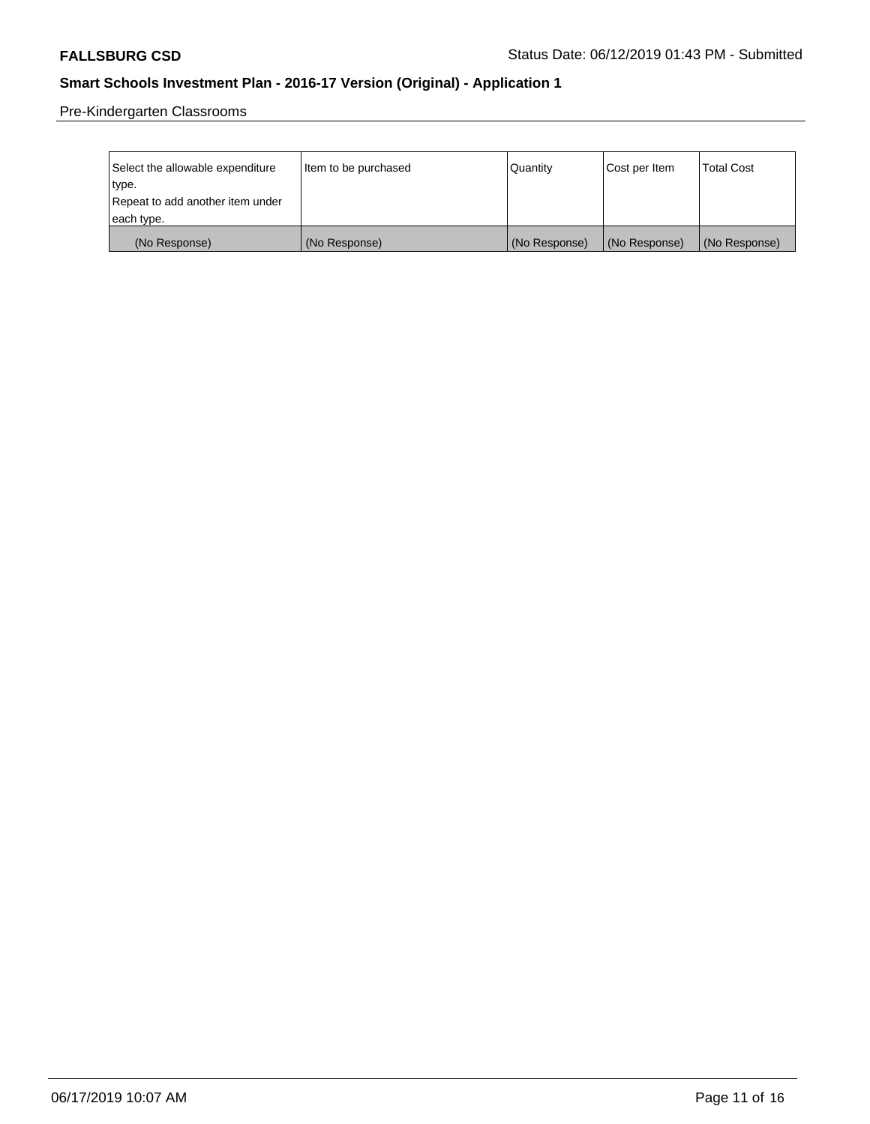Pre-Kindergarten Classrooms

| Select the allowable expenditure | Item to be purchased | Quantity      | Cost per Item | <b>Total Cost</b> |
|----------------------------------|----------------------|---------------|---------------|-------------------|
| type.                            |                      |               |               |                   |
| Repeat to add another item under |                      |               |               |                   |
| each type.                       |                      |               |               |                   |
| (No Response)                    | (No Response)        | (No Response) | (No Response) | (No Response)     |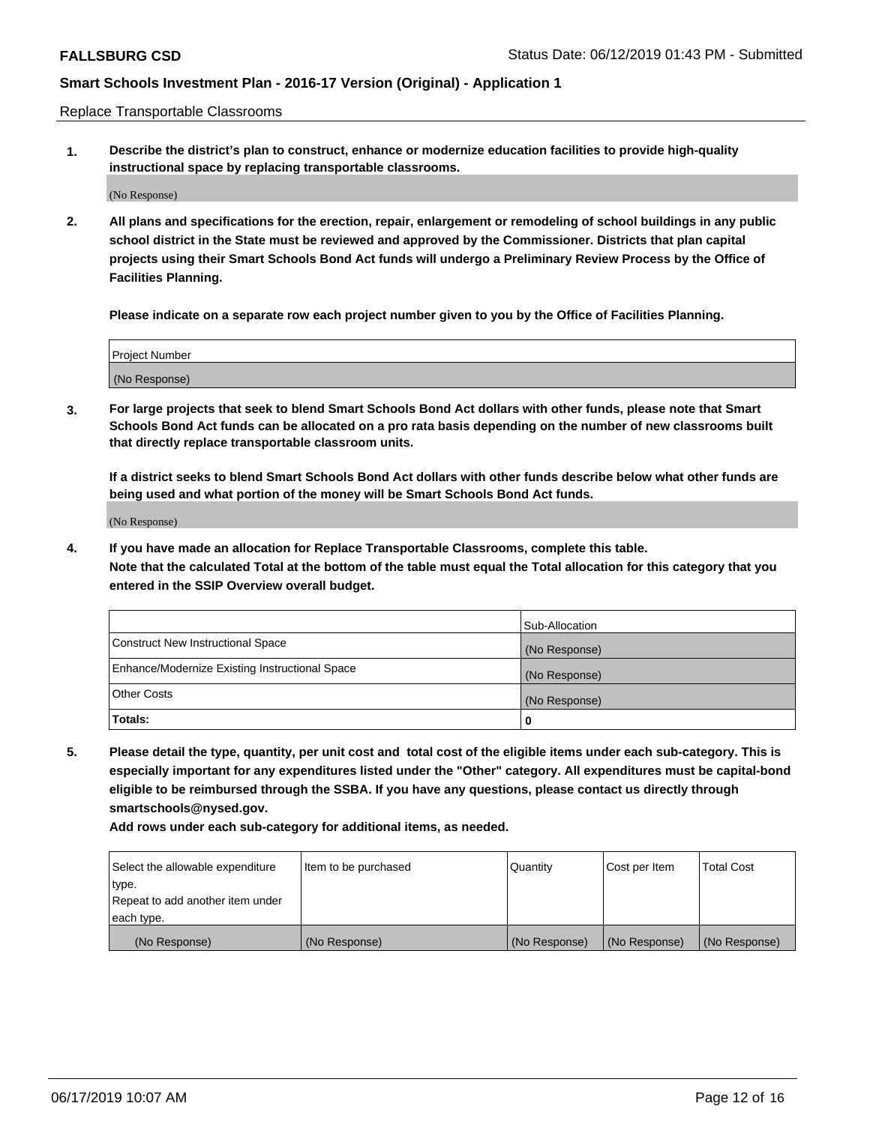Replace Transportable Classrooms

**1. Describe the district's plan to construct, enhance or modernize education facilities to provide high-quality instructional space by replacing transportable classrooms.**

(No Response)

**2. All plans and specifications for the erection, repair, enlargement or remodeling of school buildings in any public school district in the State must be reviewed and approved by the Commissioner. Districts that plan capital projects using their Smart Schools Bond Act funds will undergo a Preliminary Review Process by the Office of Facilities Planning.**

**Please indicate on a separate row each project number given to you by the Office of Facilities Planning.**

| Project Number |  |
|----------------|--|
|                |  |
|                |  |
|                |  |
|                |  |
| (No Response)  |  |
|                |  |
|                |  |
|                |  |

**3. For large projects that seek to blend Smart Schools Bond Act dollars with other funds, please note that Smart Schools Bond Act funds can be allocated on a pro rata basis depending on the number of new classrooms built that directly replace transportable classroom units.**

**If a district seeks to blend Smart Schools Bond Act dollars with other funds describe below what other funds are being used and what portion of the money will be Smart Schools Bond Act funds.**

(No Response)

**4. If you have made an allocation for Replace Transportable Classrooms, complete this table. Note that the calculated Total at the bottom of the table must equal the Total allocation for this category that you entered in the SSIP Overview overall budget.**

|                                                | Sub-Allocation |
|------------------------------------------------|----------------|
| Construct New Instructional Space              | (No Response)  |
| Enhance/Modernize Existing Instructional Space | (No Response)  |
| <b>Other Costs</b>                             | (No Response)  |
| Totals:                                        | 0              |

**5. Please detail the type, quantity, per unit cost and total cost of the eligible items under each sub-category. This is especially important for any expenditures listed under the "Other" category. All expenditures must be capital-bond eligible to be reimbursed through the SSBA. If you have any questions, please contact us directly through smartschools@nysed.gov.**

| Select the allowable expenditure | Item to be purchased | l Quantitv    | Cost per Item | <b>Total Cost</b> |
|----------------------------------|----------------------|---------------|---------------|-------------------|
| type.                            |                      |               |               |                   |
| Repeat to add another item under |                      |               |               |                   |
| each type.                       |                      |               |               |                   |
| (No Response)                    | (No Response)        | (No Response) | (No Response) | (No Response)     |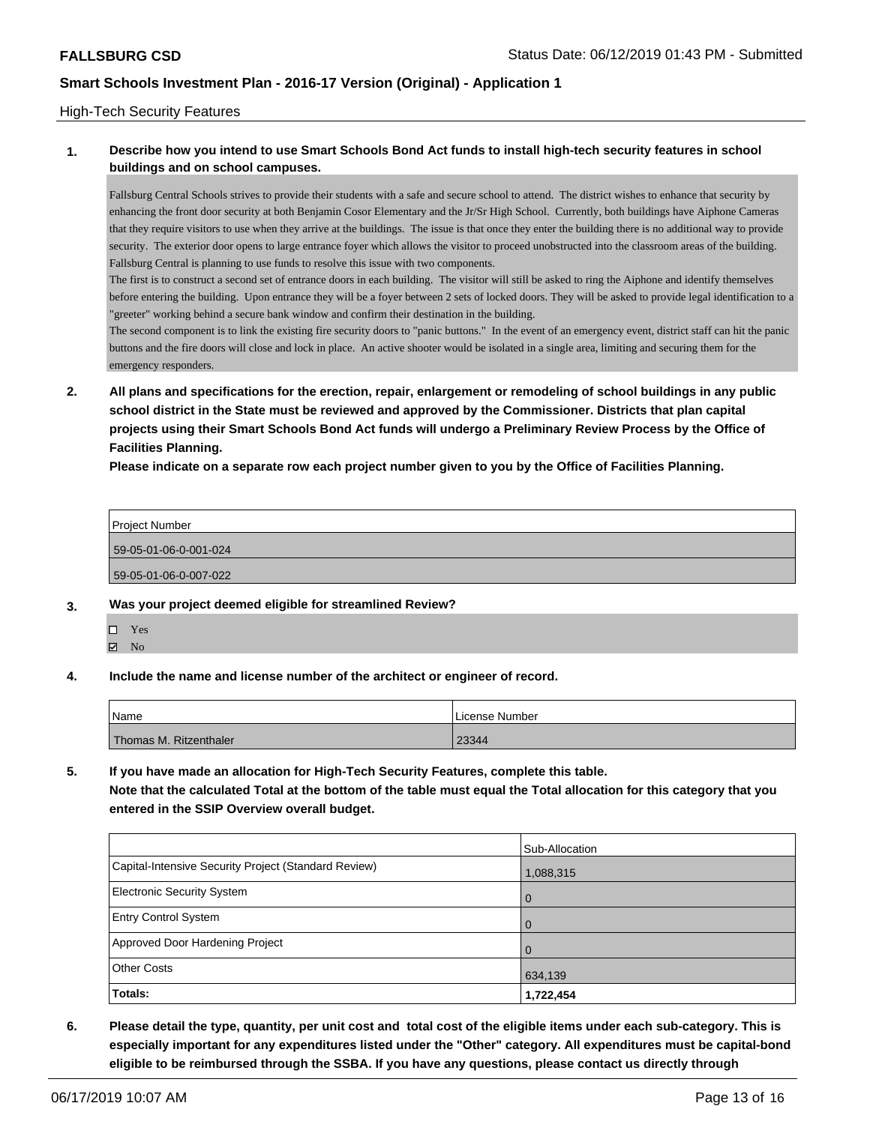### High-Tech Security Features

## **1. Describe how you intend to use Smart Schools Bond Act funds to install high-tech security features in school buildings and on school campuses.**

Fallsburg Central Schools strives to provide their students with a safe and secure school to attend. The district wishes to enhance that security by enhancing the front door security at both Benjamin Cosor Elementary and the Jr/Sr High School. Currently, both buildings have Aiphone Cameras that they require visitors to use when they arrive at the buildings. The issue is that once they enter the building there is no additional way to provide security. The exterior door opens to large entrance foyer which allows the visitor to proceed unobstructed into the classroom areas of the building. Fallsburg Central is planning to use funds to resolve this issue with two components.

The first is to construct a second set of entrance doors in each building. The visitor will still be asked to ring the Aiphone and identify themselves before entering the building. Upon entrance they will be a foyer between 2 sets of locked doors. They will be asked to provide legal identification to a "greeter" working behind a secure bank window and confirm their destination in the building.

The second component is to link the existing fire security doors to "panic buttons." In the event of an emergency event, district staff can hit the panic buttons and the fire doors will close and lock in place. An active shooter would be isolated in a single area, limiting and securing them for the emergency responders.

**2. All plans and specifications for the erection, repair, enlargement or remodeling of school buildings in any public school district in the State must be reviewed and approved by the Commissioner. Districts that plan capital projects using their Smart Schools Bond Act funds will undergo a Preliminary Review Process by the Office of Facilities Planning.** 

**Please indicate on a separate row each project number given to you by the Office of Facilities Planning.**

| Project Number        |  |  |  |
|-----------------------|--|--|--|
| 59-05-01-06-0-001-024 |  |  |  |
| 59-05-01-06-0-007-022 |  |  |  |

### **3. Was your project deemed eligible for streamlined Review?**

- Yes
- $\blacksquare$  No
- **4. Include the name and license number of the architect or engineer of record.**

| Name                   | License Number |
|------------------------|----------------|
| Thomas M. Ritzenthaler | 23344          |

**5. If you have made an allocation for High-Tech Security Features, complete this table.**

**Note that the calculated Total at the bottom of the table must equal the Total allocation for this category that you entered in the SSIP Overview overall budget.**

|                                                      | Sub-Allocation |
|------------------------------------------------------|----------------|
| Capital-Intensive Security Project (Standard Review) | 1,088,315      |
| <b>Electronic Security System</b>                    | $\mathbf 0$    |
| <b>Entry Control System</b>                          | $\Omega$       |
| Approved Door Hardening Project                      | $\Omega$       |
| <b>Other Costs</b>                                   | 634,139        |
| Totals:                                              | 1,722,454      |

**6. Please detail the type, quantity, per unit cost and total cost of the eligible items under each sub-category. This is especially important for any expenditures listed under the "Other" category. All expenditures must be capital-bond eligible to be reimbursed through the SSBA. If you have any questions, please contact us directly through**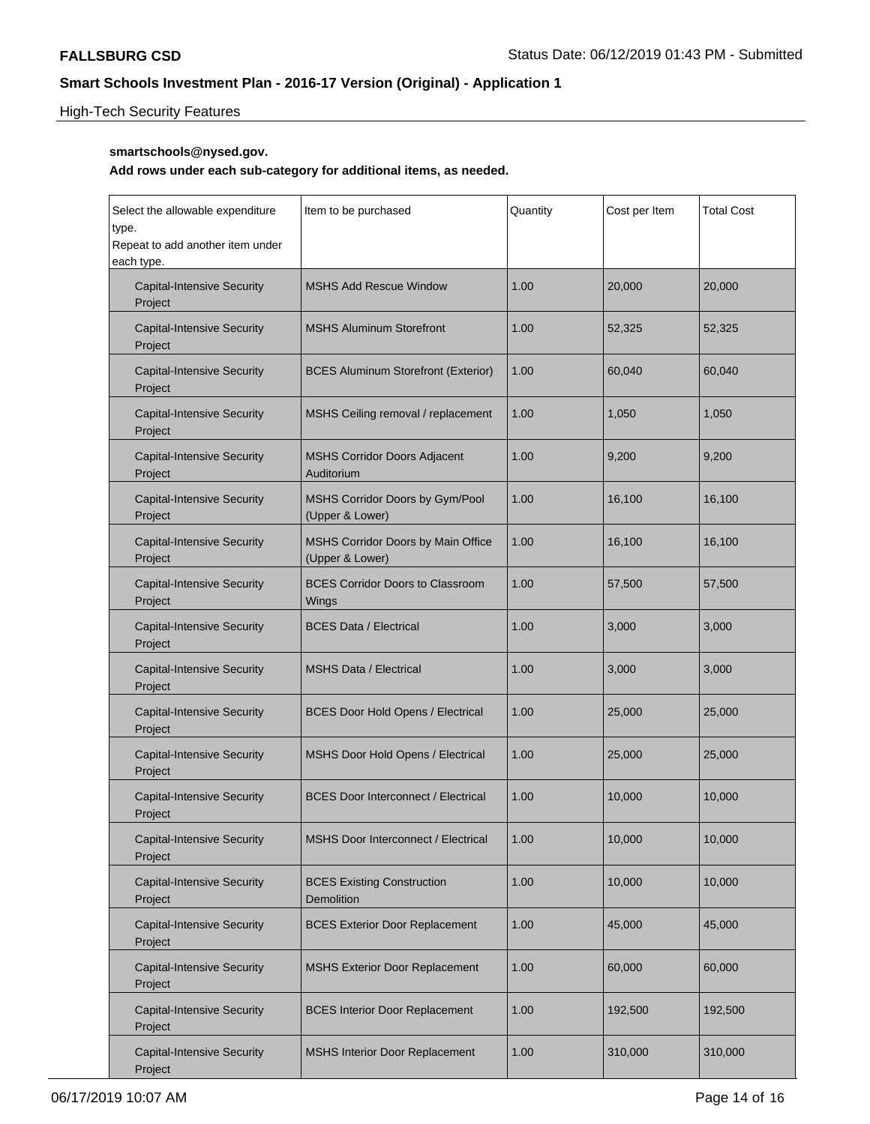# High-Tech Security Features

## **smartschools@nysed.gov.**

| Select the allowable expenditure<br>type.<br>Repeat to add another item under<br>each type. | Item to be purchased                                  | Quantity | Cost per Item | <b>Total Cost</b> |
|---------------------------------------------------------------------------------------------|-------------------------------------------------------|----------|---------------|-------------------|
| <b>Capital-Intensive Security</b><br>Project                                                | <b>MSHS Add Rescue Window</b>                         | 1.00     | 20,000        | 20,000            |
| <b>Capital-Intensive Security</b><br>Project                                                | <b>MSHS Aluminum Storefront</b>                       | 1.00     | 52,325        | 52,325            |
| <b>Capital-Intensive Security</b><br>Project                                                | <b>BCES Aluminum Storefront (Exterior)</b>            | 1.00     | 60,040        | 60,040            |
| <b>Capital-Intensive Security</b><br>Project                                                | MSHS Ceiling removal / replacement                    | 1.00     | 1,050         | 1,050             |
| <b>Capital-Intensive Security</b><br>Project                                                | <b>MSHS Corridor Doors Adjacent</b><br>Auditorium     | 1.00     | 9,200         | 9,200             |
| <b>Capital-Intensive Security</b><br>Project                                                | MSHS Corridor Doors by Gym/Pool<br>(Upper & Lower)    | 1.00     | 16,100        | 16,100            |
| <b>Capital-Intensive Security</b><br>Project                                                | MSHS Corridor Doors by Main Office<br>(Upper & Lower) | 1.00     | 16,100        | 16,100            |
| <b>Capital-Intensive Security</b><br>Project                                                | <b>BCES Corridor Doors to Classroom</b><br>Wings      | 1.00     | 57,500        | 57,500            |
| <b>Capital-Intensive Security</b><br>Project                                                | <b>BCES Data / Electrical</b>                         | 1.00     | 3,000         | 3,000             |
| <b>Capital-Intensive Security</b><br>Project                                                | <b>MSHS Data / Electrical</b>                         | 1.00     | 3,000         | 3,000             |
| <b>Capital-Intensive Security</b><br>Project                                                | <b>BCES Door Hold Opens / Electrical</b>              | 1.00     | 25,000        | 25,000            |
| <b>Capital-Intensive Security</b><br>Project                                                | MSHS Door Hold Opens / Electrical                     | 1.00     | 25,000        | 25,000            |
| <b>Capital-Intensive Security</b><br>Project                                                | <b>BCES Door Interconnect / Electrical</b>            | 1.00     | 10,000        | 10,000            |
| <b>Capital-Intensive Security</b><br>Project                                                | MSHS Door Interconnect / Electrical                   | 1.00     | 10,000        | 10,000            |
| <b>Capital-Intensive Security</b><br>Project                                                | <b>BCES Existing Construction</b><br>Demolition       | 1.00     | 10,000        | 10,000            |
| <b>Capital-Intensive Security</b><br>Project                                                | <b>BCES Exterior Door Replacement</b>                 | 1.00     | 45,000        | 45,000            |
| <b>Capital-Intensive Security</b><br>Project                                                | <b>MSHS Exterior Door Replacement</b>                 | 1.00     | 60,000        | 60,000            |
| <b>Capital-Intensive Security</b><br>Project                                                | <b>BCES Interior Door Replacement</b>                 | 1.00     | 192,500       | 192,500           |
| <b>Capital-Intensive Security</b><br>Project                                                | <b>MSHS Interior Door Replacement</b>                 | 1.00     | 310,000       | 310,000           |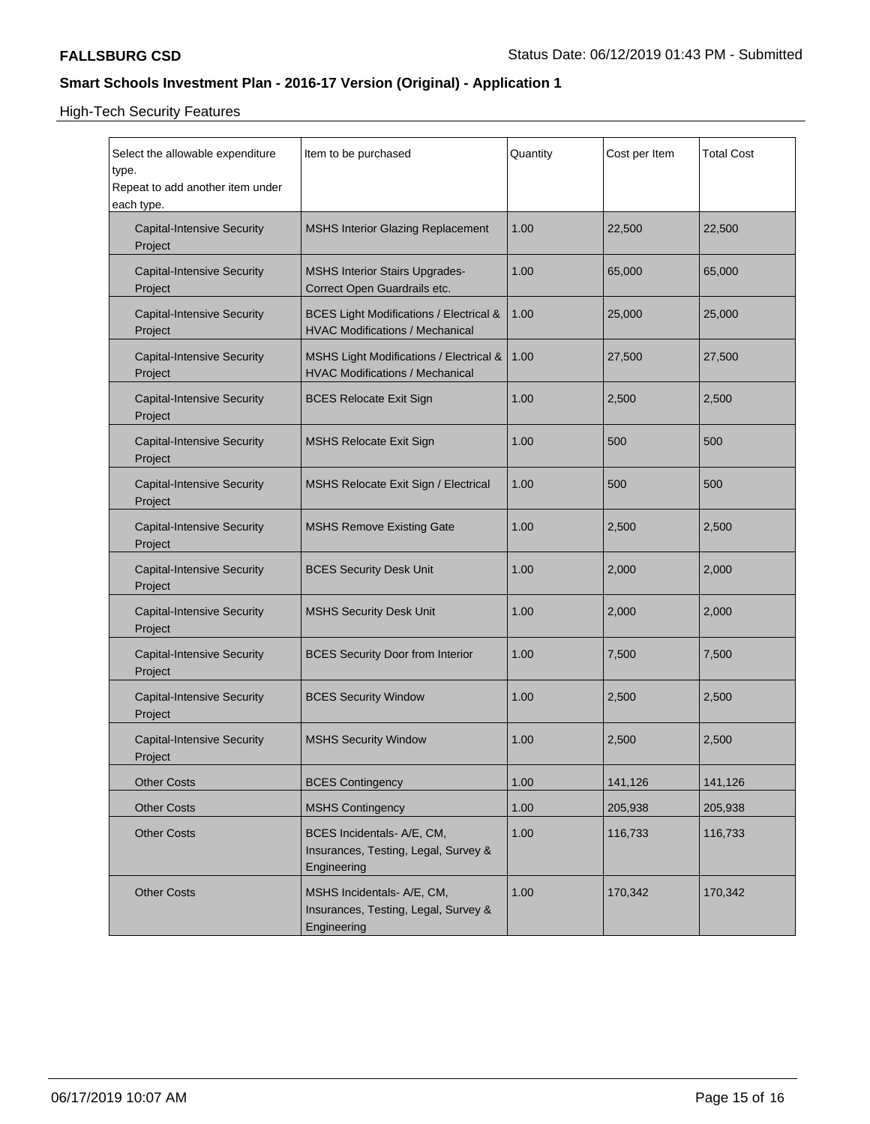High-Tech Security Features

| Select the allowable expenditure<br>type.<br>Repeat to add another item under<br>each type. | Item to be purchased                                                                         | Quantity | Cost per Item | <b>Total Cost</b> |
|---------------------------------------------------------------------------------------------|----------------------------------------------------------------------------------------------|----------|---------------|-------------------|
| <b>Capital-Intensive Security</b><br>Project                                                | <b>MSHS Interior Glazing Replacement</b>                                                     | 1.00     | 22,500        | 22,500            |
| <b>Capital-Intensive Security</b><br>Project                                                | <b>MSHS Interior Stairs Upgrades-</b><br>Correct Open Guardrails etc.                        | 1.00     | 65,000        | 65,000            |
| <b>Capital-Intensive Security</b><br>Project                                                | <b>BCES Light Modifications / Electrical &amp;</b><br><b>HVAC Modifications / Mechanical</b> | 1.00     | 25,000        | 25,000            |
| <b>Capital-Intensive Security</b><br>Project                                                | MSHS Light Modifications / Electrical &<br><b>HVAC Modifications / Mechanical</b>            | 1.00     | 27,500        | 27,500            |
| <b>Capital-Intensive Security</b><br>Project                                                | <b>BCES Relocate Exit Sign</b>                                                               | 1.00     | 2,500         | 2,500             |
| <b>Capital-Intensive Security</b><br>Project                                                | <b>MSHS Relocate Exit Sign</b>                                                               | 1.00     | 500           | 500               |
| <b>Capital-Intensive Security</b><br>Project                                                | MSHS Relocate Exit Sign / Electrical                                                         | 1.00     | 500           | 500               |
| <b>Capital-Intensive Security</b><br>Project                                                | <b>MSHS Remove Existing Gate</b>                                                             | 1.00     | 2,500         | 2,500             |
| <b>Capital-Intensive Security</b><br>Project                                                | <b>BCES Security Desk Unit</b>                                                               | 1.00     | 2,000         | 2,000             |
| <b>Capital-Intensive Security</b><br>Project                                                | <b>MSHS Security Desk Unit</b>                                                               | 1.00     | 2,000         | 2,000             |
| <b>Capital-Intensive Security</b><br>Project                                                | <b>BCES Security Door from Interior</b>                                                      | 1.00     | 7,500         | 7,500             |
| <b>Capital-Intensive Security</b><br>Project                                                | <b>BCES Security Window</b>                                                                  | 1.00     | 2,500         | 2,500             |
| <b>Capital-Intensive Security</b><br>Project                                                | <b>MSHS Security Window</b>                                                                  | 1.00     | 2,500         | 2,500             |
| <b>Other Costs</b>                                                                          | <b>BCES Contingency</b>                                                                      | 1.00     | 141,126       | 141,126           |
| <b>Other Costs</b>                                                                          | <b>MSHS Contingency</b>                                                                      | 1.00     | 205,938       | 205,938           |
| <b>Other Costs</b>                                                                          | BCES Incidentals- A/E, CM,<br>Insurances, Testing, Legal, Survey &<br>Engineering            | 1.00     | 116,733       | 116,733           |
| <b>Other Costs</b>                                                                          | MSHS Incidentals- A/E, CM,<br>Insurances, Testing, Legal, Survey &<br>Engineering            | 1.00     | 170,342       | 170,342           |